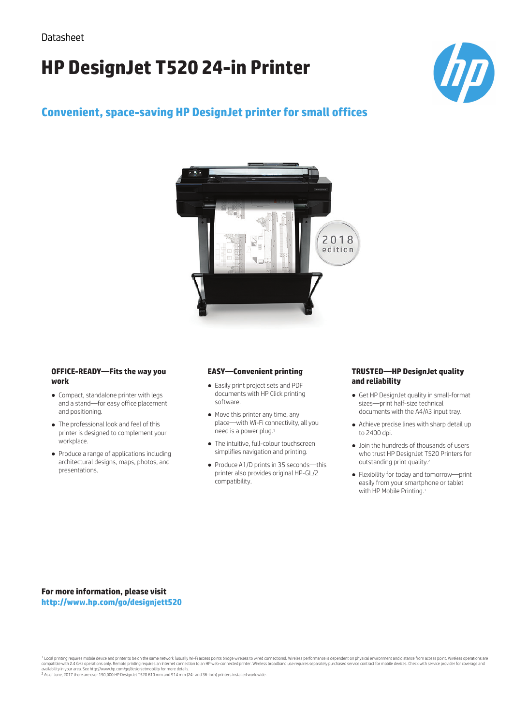# **HP DesignJet T520 24-in Printer**



## **Convenient, space-saving HP DesignJet printer for small offices**



#### **OFFICE-READY—Fits the way you work**

- Compact, standalone printer with legs and a stand—for easy office placement and positioning.
- The professional look and feel of this printer is designed to complement your workplace.
- Produce a range of applications including architectural designs, maps, photos, and presentations.

#### **EASY—Convenient printing**

- Easily print project sets and PDF documents with HP Click printing software.
- Move this printer any time, any place—with Wi-Fi connectivity, all you need is a power plug.
- The intuitive, full-colour touchscreen simplifies navigation and printing.
- Produce A1/D prints in 35 seconds—this printer also provides original HP-GL/2 compatibility.

#### **TRUSTED—HP DesignJet quality and reliability**

- Get HP DesignJet quality in small-format sizes—print half-size technical documents with the A4/A3 input tray.
- Achieve precise lines with sharp detail up to 2400 dpi.
- Join the hundreds of thousands of users who trust HP DesignJet T520 Printers for outstanding print quality.<sup>2</sup>
- Flexibility for today and tomorrow—print easily from your smartphone or tablet with HP Mobile Printing.<sup>1</sup>

**For more information, please visit http://www.hp.com/go/designjett520**

<sup>1</sup> Local printing requires mobile device and printer to be on the same network (usually Wi-Fi access points bridge wireless to wired connections). Wireless performance is dependent on physical environment and distance fro

2 As of June, 2017 there are over 150,000 HP DesignJet T520 610 mm and 914 mm (24- and 36-inch) printers installed worldwide